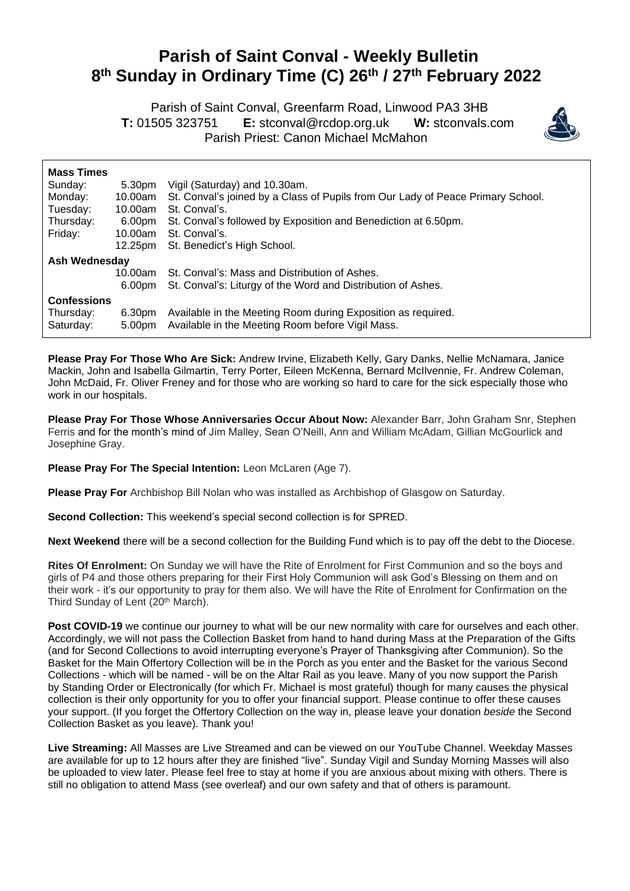## **Parish of Saint Conval - Weekly Bulletin 8 th Sunday in Ordinary Time (C) 26th / 27th February 2022**

 Parish of Saint Conval, Greenfarm Road, Linwood PA3 3HB **T:** 01505 323751 **E:** [stconval@rcdop.org.uk](mailto:stconval@rcdop.org.uk) **W:** stconvals.com Parish Priest: Canon Michael McMahon



| <b>Mass Times</b>  |                    |                                                                                 |
|--------------------|--------------------|---------------------------------------------------------------------------------|
| Sunday:            | 5.30pm             | Vigil (Saturday) and 10.30am.                                                   |
| Monday:            | 10.00am            | St. Conval's joined by a Class of Pupils from Our Lady of Peace Primary School. |
| Tuesday:           | 10.00am            | St. Conval's.                                                                   |
| Thursday:          | 6.00pm             | St. Conval's followed by Exposition and Benediction at 6.50pm.                  |
| Friday:            | 10.00am            | St. Conval's.                                                                   |
|                    | 12.25pm            | St. Benedict's High School.                                                     |
| Ash Wednesdav      |                    |                                                                                 |
|                    | 10.00am            | St. Conval's: Mass and Distribution of Ashes.                                   |
|                    | 6.00 <sub>pm</sub> | St. Conval's: Liturgy of the Word and Distribution of Ashes.                    |
| <b>Confessions</b> |                    |                                                                                 |
| Thursday:          | 6.30pm             | Available in the Meeting Room during Exposition as required.                    |
| Saturday:          | 5.00pm             | Available in the Meeting Room before Vigil Mass.                                |
|                    |                    |                                                                                 |

**Please Pray For Those Who Are Sick:** Andrew Irvine, Elizabeth Kelly, Gary Danks, Nellie McNamara, Janice Mackin, John and Isabella Gilmartin, Terry Porter, Eileen McKenna, Bernard McIlvennie, Fr. Andrew Coleman, John McDaid, Fr. Oliver Freney and for those who are working so hard to care for the sick especially those who work in our hospitals.

**Please Pray For Those Whose Anniversaries Occur About Now:** Alexander Barr, John Graham Snr, Stephen Ferris and for the month's mind of Jim Malley, Sean O'Neill, Ann and William McAdam, Gillian McGourlick and Josephine Gray.

**Please Pray For The Special Intention:** Leon McLaren (Age 7).

**Please Pray For** Archbishop Bill Nolan who was installed as Archbishop of Glasgow on Saturday.

**Second Collection:** This weekend's special second collection is for SPRED.

**Next Weekend** there will be a second collection for the Building Fund which is to pay off the debt to the Diocese.

**Rites Of Enrolment:** On Sunday we will have the Rite of Enrolment for First Communion and so the boys and girls of P4 and those others preparing for their First Holy Communion will ask God's Blessing on them and on their work - it's our opportunity to pray for them also. We will have the Rite of Enrolment for Confirmation on the Third Sunday of Lent (20<sup>th</sup> March).

**Post COVID-19** we continue our journey to what will be our new normality with care for ourselves and each other. Accordingly, we will not pass the Collection Basket from hand to hand during Mass at the Preparation of the Gifts (and for Second Collections to avoid interrupting everyone's Prayer of Thanksgiving after Communion). So the Basket for the Main Offertory Collection will be in the Porch as you enter and the Basket for the various Second Collections - which will be named - will be on the Altar Rail as you leave. Many of you now support the Parish by Standing Order or Electronically (for which Fr. Michael is most grateful) though for many causes the physical collection is their only opportunity for you to offer your financial support. Please continue to offer these causes your support. (If you forget the Offertory Collection on the way in, please leave your donation *beside* the Second Collection Basket as you leave). Thank you!

**Live Streaming:** All Masses are Live Streamed and can be viewed on our YouTube Channel. Weekday Masses are available for up to 12 hours after they are finished "live". Sunday Vigil and Sunday Morning Masses will also be uploaded to view later. Please feel free to stay at home if you are anxious about mixing with others. There is still no obligation to attend Mass (see overleaf) and our own safety and that of others is paramount.